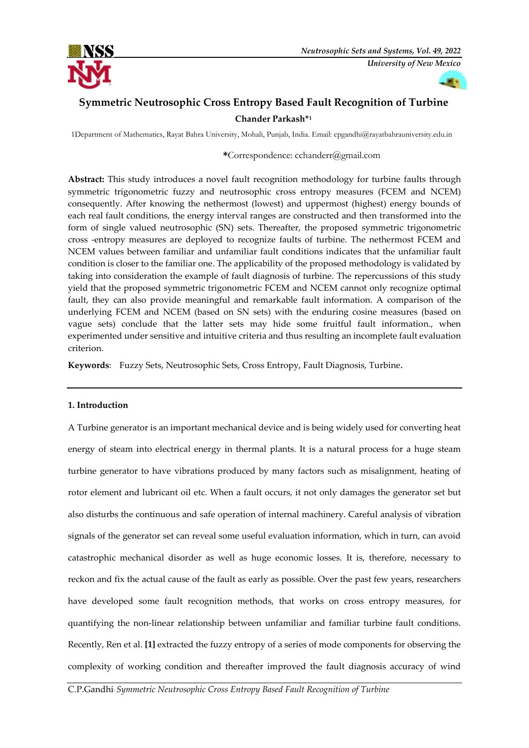



# **Symmetric Neutrosophic Cross Entropy Based Fault Recognition of Turbine Chander Parkash\*<sup>1</sup>**

1Department of Mathematics, Rayat Bahra University, Mohali, Punjab, India. Email: c[pgandhi@rayatbahrauniversity.edu.in](mailto:cpgandhi@rayatbahrauniversity.edu.in) 

# **\***Correspondence: [cchanderr@gmail.com](mailto:cchanderr@gmail.com)

**Abstract:** This study introduces a novel fault recognition methodology for turbine faults through symmetric trigonometric fuzzy and neutrosophic cross entropy measures (FCEM and NCEM) consequently. After knowing the nethermost (lowest) and uppermost (highest) energy bounds of each real fault conditions, the energy interval ranges are constructed and then transformed into the form of single valued neutrosophic (SN) sets. Thereafter, the proposed symmetric trigonometric cross -entropy measures are deployed to recognize faults of turbine. The nethermost FCEM and NCEM values between familiar and unfamiliar fault conditions indicates that the unfamiliar fault condition is closer to the familiar one. The applicability of the proposed methodology is validated by taking into consideration the example of fault diagnosis of turbine. The repercussions of this study yield that the proposed symmetric trigonometric FCEM and NCEM cannot only recognize optimal fault, they can also provide meaningful and remarkable fault information. A comparison of the underlying FCEM and NCEM (based on SN sets) with the enduring cosine measures (based on vague sets) conclude that the latter sets may hide some fruitful fault information., when experimented under sensitive and intuitive criteria and thus resulting an incomplete fault evaluation criterion.

**Keywords**: Fuzzy Sets, Neutrosophic Sets, Cross Entropy, Fault Diagnosis, Turbine.

## **1. Introduction**

A Turbine generator is an important mechanical device and is being widely used for converting heat energy of steam into electrical energy in thermal plants. It is a natural process for a huge steam turbine generator to have vibrations produced by many factors such as misalignment, heating of rotor element and lubricant oil etc. When a fault occurs, it not only damages the generator set but also disturbs the continuous and safe operation of internal machinery. Careful analysis of vibration signals of the generator set can reveal some useful evaluation information, which in turn, can avoid catastrophic mechanical disorder as well as huge economic losses. It is, therefore, necessary to reckon and fix the actual cause of the fault as early as possible. Over the past few years, researchers have developed some fault recognition methods, that works on cross entropy measures, for quantifying the non-linear relationship between unfamiliar and familiar turbine fault conditions. Recently, Ren et al. **[1]** extracted the fuzzy entropy of a series of mode components for observing the complexity of working condition and thereafter improved the fault diagnosis accuracy of wind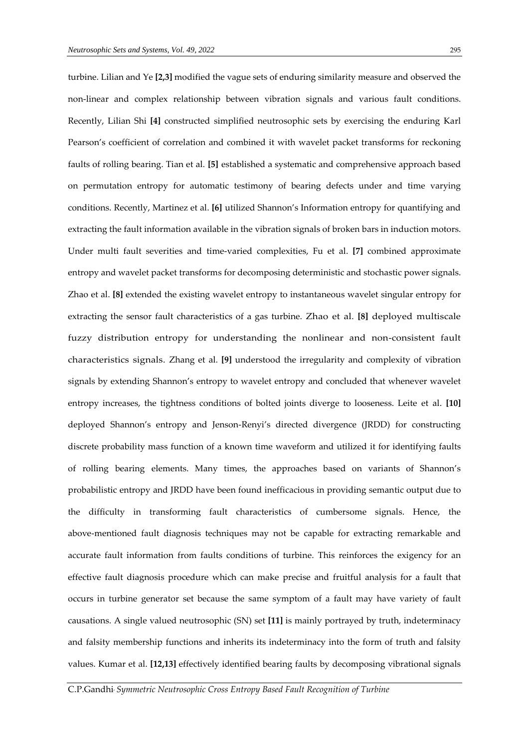turbine. Lilian and Ye **[2,3]** modified the vague sets of enduring similarity measure and observed the non-linear and complex relationship between vibration signals and various fault conditions. Recently, Lilian Shi **[4]** constructed simplified neutrosophic sets by exercising the enduring Karl Pearson's coefficient of correlation and combined it with wavelet packet transforms for reckoning faults of rolling bearing. Tian et al. **[5]** established a systematic and comprehensive approach based on permutation entropy for automatic testimony of bearing defects under and time varying conditions. Recently, Martinez et al. **[6]** utilized Shannon's Information entropy for quantifying and extracting the fault information available in the vibration signals of broken bars in induction motors. Under multi fault severities and time-varied complexities, Fu et al. **[7]** combined approximate entropy and wavelet packet transforms for decomposing deterministic and stochastic power signals. Zhao et al. **[8]** extended the existing wavelet entropy to instantaneous wavelet singular entropy for extracting the sensor fault characteristics of a gas turbine. Zhao et al. **[8]** deployed multiscale fuzzy distribution entropy for understanding the nonlinear and non-consistent fault characteristics signals. Zhang et al. **[9]** understood the irregularity and complexity of vibration signals by extending Shannon's entropy to wavelet entropy and concluded that whenever wavelet entropy increases, the tightness conditions of bolted joints diverge to looseness. Leite et al. **[10]** deployed Shannon's entropy and Jenson-Renyi's directed divergence (JRDD) for constructing discrete probability mass function of a known time waveform and utilized it for identifying faults of rolling bearing elements. Many times, the approaches based on variants of Shannon's probabilistic entropy and JRDD have been found inefficacious in providing semantic output due to the difficulty in transforming fault characteristics of cumbersome signals. Hence, the above-mentioned fault diagnosis techniques may not be capable for extracting remarkable and accurate fault information from faults conditions of turbine. This reinforces the exigency for an effective fault diagnosis procedure which can make precise and fruitful analysis for a fault that occurs in turbine generator set because the same symptom of a fault may have variety of fault causations. A single valued neutrosophic (SN) set **[11]** is mainly portrayed by truth, indeterminacy and falsity membership functions and inherits its indeterminacy into the form of truth and falsity values. Kumar et al. **[12,13]** effectively identified bearing faults by decomposing vibrational signals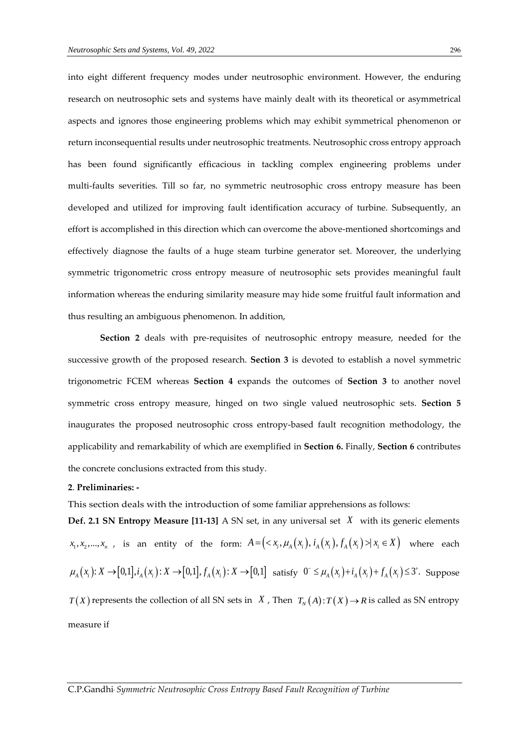research on neutrosophic sets and systems have mainly dealt with its theoretical or asymmetrical aspects and ignores those engineering problems which may exhibit symmetrical phenomenon or return inconsequential results under neutrosophic treatments. Neutrosophic cross entropy approach has been found significantly efficacious in tackling complex engineering problems under multi-faults severities. Till so far, no symmetric neutrosophic cross entropy measure has been developed and utilized for improving fault identification accuracy of turbine. Subsequently, an effort is accomplished in this direction which can overcome the above-mentioned shortcomings and effectively diagnose the faults of a huge steam turbine generator set. Moreover, the underlying symmetric trigonometric cross entropy measure of neutrosophic sets provides meaningful fault information whereas the enduring similarity measure may hide some fruitful fault information and thus resulting an ambiguous phenomenon. In addition,

**Section 2** deals with pre-requisites of neutrosophic entropy measure, needed for the successive growth of the proposed research. **Section 3** is devoted to establish a novel symmetric trigonometric FCEM whereas **Section 4** expands the outcomes of **Section 3** to another novel symmetric cross entropy measure, hinged on two single valued neutrosophic sets. **Section 5** inaugurates the proposed neutrosophic cross entropy-based fault recognition methodology, the applicability and remarkability of which are exemplified in **Section 6.** Finally, **Section 6** contributes the concrete conclusions extracted from this study.

#### **2**. **Preliminaries: -**

This section deals with the introduction of some familiar apprehensions as follows:

**Def. 2.1 SN Entropy Measure [11-13]** A SN set, in any universal set *X* with its generic elements  $x_1, x_2, ..., x_n$ , is an entity of the form:  $A = (x_i, \mu_A(x_i), i_A(x_i), f_A(x_i)) \forall x_i \in X$  where each  $\mu_A(x_i): X \to [0,1], i_A(x_i): X \to [0,1], f_A(x_i): X \to [0,1]$  satisfy  $0^- \le \mu_A(x_i) + i_A(x_i) + f_A(x_i) \le 3^{\circ}$ . Suppose  $T(X)$  represents the collection of all SN sets in X, Then  $T_N(A)$ :  $T(X) \to R$  is called as SN entropy measure if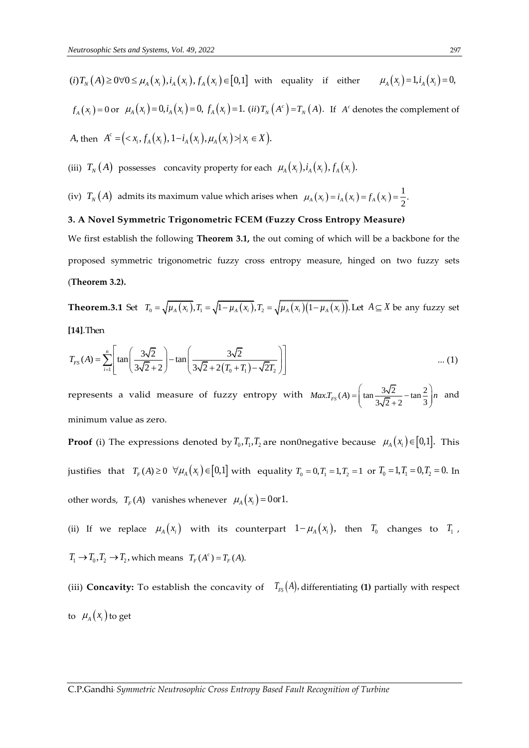$(i) T_N(A) \ge 0 \forall 0 \le \mu_A(x_i), i_A(x_i), f_A(x_i) \in [0,1]$  with equality if either  $\mu_A(x_i) = 1, i_A(x_i) = 0,$  $f_A(x_i) = 0$  or  $\mu_A(x_i) = 0, i_A(x_i) = 0, f_A(x_i) = 1$ . (*ii*)  $T_N(A^c) = T_N(A)$ . If  $A^c$  denotes the complement of *A*, then  $A^c = (x_i, f_A(x_i), 1 - i_A(x_i), \mu_A(x_i)) \times x_i \in X$ . *c*  $A^c = (x_i, f_A(x_i), 1-i_A(x_i), \mu_A(x_i)) \times x_i \in X$ 

(iii)  $T_N(A)$  possesses concavity property for each  $\mu_A(x_i), i_A(x_i), f_A(x_i)$ .

(iv)  $T_N(A)$  admits its maximum value which arises when  $\mu_A(x_i) = i_A(x_i) = f_A(x_i) = \frac{1}{2}$ .

#### **3. A Novel Symmetric Trigonometric FCEM (Fuzzy Cross Entropy Measure)**

We first establish the following **Theorem 3.1,** the out coming of which will be a backbone for the proposed symmetric trigonometric fuzzy cross entropy measure, hinged on two fuzzy sets (**Theorem 3.2).**

**Theorem.3.1** Set  $T_0 = \sqrt{\mu_A(x_i)}$ ,  $T_1 = \sqrt{1 - \mu_A(x_i)}$ ,  $T_2 = \sqrt{\mu_A(x_i)(1 - \mu_A(x_i))}$ . Let  $A \subseteq X$  be any fuzzy set **[14]**.Then

[14]. Then  

$$
T_{FS}(A) = \sum_{i=1}^{n} \left[ \tan \left( \frac{3\sqrt{2}}{3\sqrt{2} + 2} \right) - \tan \left( \frac{3\sqrt{2}}{3\sqrt{2} + 2(T_0 + T_1) - \sqrt{2}T_2} \right) \right] \tag{1}
$$

represents a valid measure of fuzzy entropy with  $MaxT_{FS}(A) = \left(\tan \frac{3\sqrt{2}}{2.5 \times 2} - \tan \frac{2}{3}\right)$  $\frac{3\sqrt{2}}{3\sqrt{2}+2} - \tan \frac{2}{3}$  $Max.T_{FS}(A) = \left(\tan \frac{3\sqrt{2}}{3\sqrt{2} + 2} - \tan \frac{2}{3}\right) n$  a and minimum value as zero.

**Proof** (i) The expressions denoted by  $T_0, T_1, T_2$  are non0negative because  $\mu_A(x_i) \in [0,1]$ . This justifies that  $T_F(A) \ge 0 \ \ \forall \mu_A(x_i) \in [0,1]$  with equality  $T_0 = 0, T_1 = 1, T_2 = 1$  or  $T_0 = 1, T_1 = 0, T_2 = 0$ . In other words,  $T_F(A)$  vanishes whenever  $\mu_A(x_i) = 0$  or 1.

(ii) If we replace  $\mu_A(x_i)$  with its counterpart  $1-\mu_A(x_i)$ , then  $T_0$  changes to  $T_1$ ,  $T_1 \rightarrow T_0, T_2 \rightarrow T_2$ , which means  $T_F(A^c) = T_F(A)$ .

(iii) **Concavity:** To establish the concavity of  $T_{FS}(A)$ , differentiating (1) partially with respect to  $\mu_A(x_i)$  to get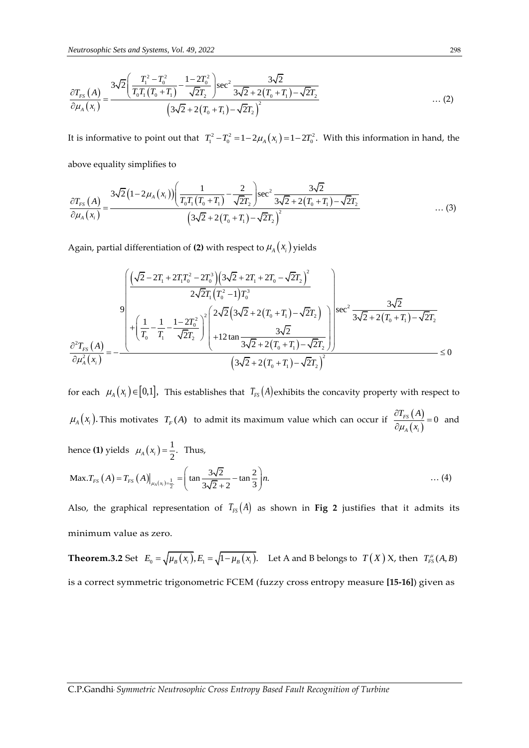$$
\frac{\partial T_{FS}(A)}{\partial \mu_A(x_i)} = \frac{3\sqrt{2} \left( \frac{T_1^2 - T_0^2}{T_0 T_1 (T_0 + T_1)} - \frac{1 - 2T_0^2}{\sqrt{2}T_2} \right) \sec^2 \frac{3\sqrt{2}}{3\sqrt{2} + 2(T_0 + T_1) - \sqrt{2}T_2}
$$
\n...(2)

It is informative to point out that  $T_1^2 - T_0^2 = 1 - 2\mu_A(x_i) = 1 - 2T_0^2$ . With this information in hand, the above equality simplifies to

above equality simplifies to  
\n
$$
\frac{\partial T_{rs}(A)}{\partial \mu_A(x_i)} = \frac{3\sqrt{2}(1-2\mu_A(x_i))\left(\frac{1}{T_0T_1(T_0+T_1)} - \frac{2}{\sqrt{2}T_2}\right)\sec^2\frac{3\sqrt{2}}{3\sqrt{2}+2(T_0+T_1)-\sqrt{2}T_2}}{(3\sqrt{2}+2(T_0+T_1)-\sqrt{2}T_2)^2}
$$
\n...(3)

Again, partial differentiation of (2) with respect to 
$$
\mu_A(x_i)
$$
 yields  
\n
$$
\frac{\left(\sqrt{2}-2T_1+2T_1T_0^2-2T_0^3\right)\left(3\sqrt{2}+2T_1+2T_0-\sqrt{2}T_2\right)^2}{2\sqrt{2}T_1\left(T_0^2-1\right)T_0^3}
$$
\n
$$
+\left(\frac{1}{T_0}-\frac{1}{T_1}-\frac{1-2T_0^2}{\sqrt{2}T_2}\right)^2\left(\frac{2\sqrt{2}\left(3\sqrt{2}+2\left(T_0+T_1\right)-\sqrt{2}T_2\right)}{3\sqrt{2}+2\left(T_0+T_1\right)-\sqrt{2}T_2}\right)^3\right)^{\sec^2}\frac{3\sqrt{2}}{3\sqrt{2}+2\left(T_0+T_1\right)-\sqrt{2}T_2}
$$
\n
$$
\frac{\partial^2 T_{FS}(A)}{\partial \mu_A^2(x_i)} = -\frac{\left(\frac{1}{\sqrt{2}+2T_0}\right)^2}{\left(\frac{3\sqrt{2}+2\left(T_0+T_1\right)-\sqrt{2}T_2\right)^2}{\left(\frac{3\sqrt{2}+2\left(T_0+T_1\right)-\sqrt{2}T_2\right)^2}} \le 0
$$

for each  $\mu_A(x_i) \in [0,1]$ , This establishes that  $T_{FS}(A)$  exhibits the concavity property with respect to  $\mu_A(x_i)$ . This motivates  $T_F(A)$  to admit its maximum value which can occur if  $\frac{\partial T_{FS}(A)}{\partial T_{FS}(A)}$  $(x_i)$  $\frac{FS(1)}{2} = 0$ *A i*  $T_{_{FS}}(A$  $\mu_{A}$  (x  $\frac{\partial T_{FS}(A)}{\partial \mu_A(x_i)} = 0$  and hence **(1)** yields  $\mu_A(x_i) = \frac{1}{2}$ . Thus, Max.  $T_{FS}(A) = T_{FS}(A)|_{\mu_A(x_i) = \frac{1}{2}^{\circ}} = \left(\tan \frac{3\sqrt{2}}{3\sqrt{2} + 2} - \tan \frac{2}{3}\right) n$ . *T<sub>FS</sub>*  $(A) = T_{FS}(A)|_{\mu_A(x_i) = \frac{1}{2}^{i}} = \left(\tan \frac{3\sqrt{2}}{3\sqrt{2} + 2} - \tan \frac{2}{3}\right)n$ . … (4)

Also, the graphical representation of  $T_{FS}(A)$  as shown in **Fig 2** justifies that it admits its minimum value as zero.

**Theorem.3.2** Set  $E_0 = \sqrt{\mu_B(x_i)}$ ,  $E_1 = \sqrt{1 - \mu_B(x_i)}$ . Let A and B belongs to  $T(X)$  X, then  $T_{FS}^{\mu}(A, B)$ is a correct symmetric trigonometric FCEM (fuzzy cross entropy measure **[15-16]**) given as

C.P.Gandhi, *Symmetric Neutrosophic Cross Entropy Based Fault Recognition of Turbine*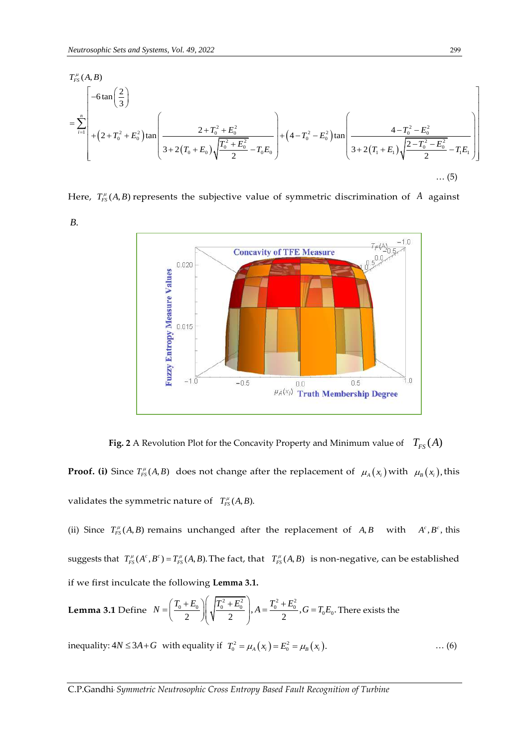*B*.

*Neutrosophic Sets and Systems, Vol. 49, 2022*  
\n
$$
T_{FS}^{\mu}(A, B)
$$
\n
$$
= \sum_{i=1}^{n} \left[ -6 \tan \left( \frac{2}{3} \right) + \left( 2 + T_0^2 + E_0^2 \right) \tan \left( \frac{2 + T_0^2 + E_0^2}{3 + 2(T_0 + E_0)} \right) + \left( 4 - T_0^2 - E_0^2 \right) \tan \left( \frac{4 - T_0^2 - E_0^2}{3 + 2(T_1 + E_1)} \right) \right]
$$
\n
$$
= \sum_{i=1}^{n} \left[ + \left( 2 + T_0^2 + E_0^2 \right) \tan \left( \frac{2 + T_0^2 + E_0^2}{2} - T_0 E_0 \right) + \left( 4 - T_0^2 - E_0^2 \right) \tan \left( \frac{4 - T_0^2 - E_0^2}{3 + 2(T_1 + E_1)} \right) \right]
$$
\n
$$
\dots (5)
$$

Here,  $T_{FS}^{\mu}(A, B)$  represents the subjective value of symmetric discrimination of A against



**Fig. 2** A Revolution Plot for the Concavity Property and Minimum value of  $T_{FS}(A)$ **Proof.** (i) Since  $T_{FS}^{\mu}(A,B)$  does not change after the replacement of  $\mu_A(x_i)$  with  $\mu_B(x_i)$ , this

validates the symmetric nature of  $T_{FS}^{\mu}(A, B)$ .

(ii) Since  $T_{FS}^{\mu}(A, B)$  remains unchanged after the replacement of  $A, B$  with  $A^{c}, B^{c}$ , this suggests that  $T_{FS}^{\mu}(A^c, B^c) = T_{FS}^{\mu}(A, B)$ . The fact, that  $T_{FS}^{\mu}(A, B)$  is non-negative, can be established if we first inculcate the following **Lemma 3.1.**

**Lemma 3.1** Define 
$$
N = \left(\frac{T_0 + E_0}{2}\right) \left(\sqrt{\frac{T_0^2 + E_0^2}{2}}\right)
$$
,  $A = \frac{T_0^2 + E_0^2}{2}$ ,  $G = T_0 E_0$ . There exists the

inequality:  $4N \leq 3A + G$  with equality if  $T_0^2 = \mu_A(x_i) = E_0^2 = \mu_B(x_i)$ . … (6)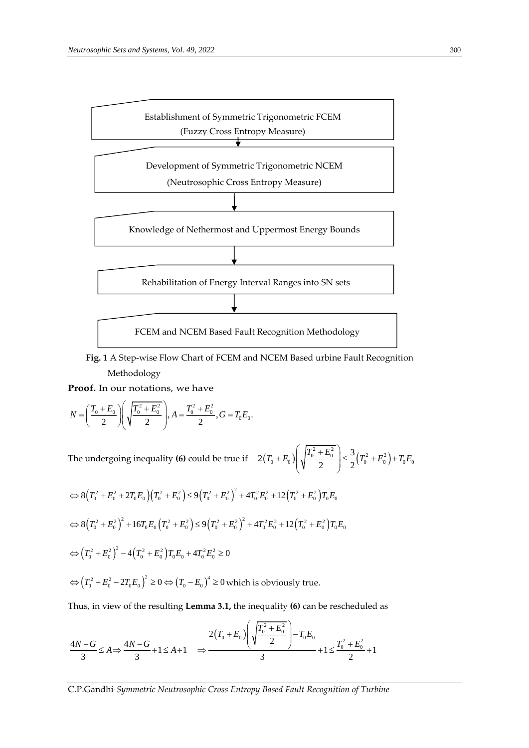

 **Fig. 1** A Step-wise Flow Chart of FCEM and NCEM Based urbine Fault Recognition Methodology

**Proof.** In our notations, we have

**Proof.** In our notations, we have  
\n
$$
N = \left(\frac{T_0 + E_0}{2}\right) \left(\sqrt{\frac{T_0^2 + E_0^2}{2}}\right), A = \frac{T_0^2 + E_0^2}{2}, G = T_0 E_0.
$$

The undergoing inequality **(6)** could be true if  $2(T_0 + E_0) \sqrt{\frac{1}{2} (T_0^2 + E_0^2)}$  $2(T_0 + E_0) \left(\sqrt{\frac{T_0^2 + E_0^2}{2}}\right) \leq \frac{3}{2}(T_0^2 + E_0^2) + T_0 E_0$  $\left[T_0 + E_0\right) \left(\sqrt{\frac{T_0^2 + E_0^2}{2}}\right) \leq \frac{3}{2} \left(T_0^2 + E_0^2\right) + T_0 E$  $\left( \sqrt{T_0^2 + E_0^2} \right)$ , 3  $\left(\sqrt{\frac{T_0^2 + E_0^2}{2}}\right) \le \frac{3}{2}\left(T_0^2 + E_0^2\right) + T_0 E_0$  $^{+}$ 

$$
\Leftrightarrow 8(T_0^2 + E_0^2 + 2T_0E_0)(T_0^2 + E_0^2) \le 9(T_0^2 + E_0^2)^2 + 4T_0^2E_0^2 + 12(T_0^2 + E_0^2)T_0E_0
$$
  
\n
$$
\Leftrightarrow 8(T_0^2 + E_0^2)^2 + 16T_0E_0(T_0^2 + E_0^2) \le 9(T_0^2 + E_0^2)^2 + 4T_0^2E_0^2 + 12(T_0^2 + E_0^2)T_0E_0
$$
  
\n
$$
\Leftrightarrow (T_0^2 + E_0^2)^2 - 4(T_0^2 + E_0^2)T_0E_0 + 4T_0^2E_0^2 \ge 0
$$
  
\n
$$
\Leftrightarrow (T_0^2 + E_0^2 - 2T_0E_0)^2 \ge 0 \Leftrightarrow (T_0 - E_0)^4 \ge 0 \text{ which is obviously true.}
$$

Thus, in view of the resulting **Lemma 3.1,** the inequality (6) can be rescheduled as\n
$$
\frac{2(T_0 + E_0)}{3} \left( \sqrt{\frac{T_0^2 + E_0^2}{2}} \right) - T_0 E_0
$$
\n
$$
\frac{4N - G}{3} \le A \Rightarrow \frac{4N - G}{3} + 1 \le A + 1 \implies \frac{2(T_0 + E_0)}{3} + 1 \le \frac{T_0^2 + E_0^2}{2} + 1
$$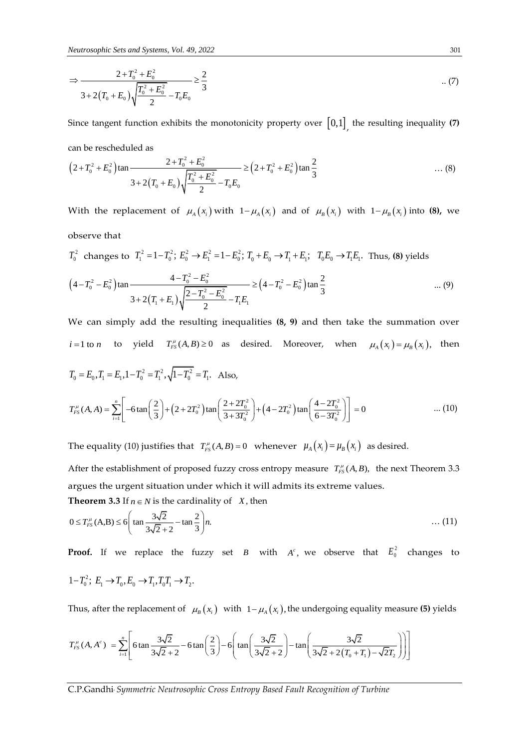$$
\Rightarrow \frac{2 + T_0^2 + E_0^2}{3 + 2(T_0 + E_0)} \frac{1}{\sqrt{\frac{T_0^2 + E_0^2}{2}} - T_0 E_0} \ge \frac{2}{3}
$$
 (7)

Since tangent function exhibits the monotonicity property over  $\begin{bmatrix} 0,1 \end{bmatrix}$ , the resulting inequality **(7)** can be rescheduled as

can be rescheduled as  
\n
$$
(2+T_0^2+E_0^2)\tan\frac{2+T_0^2+E_0^2}{3+2(T_0+E_0)\sqrt{\frac{T_0^2+E_0^2}{2}-T_0E_0}} \ge (2+T_0^2+E_0^2)\tan\frac{2}{3}
$$
\n...(8)

With the replacement of  $\mu_A(x_i)$  with  $1-\mu_A(x_i)$  and of  $\mu_B(x_i)$  with  $1-\mu_B(x_i)$  into (8), we observe that

$$
T_0^2 \text{ changes to } T_1^2 = 1 - T_0^2; E_0^2 \to E_1^2 = 1 - E_0^2; T_0 + E_0 \to T_1 + E_1; T_0E_0 \to T_1E_1. \text{ Thus, (8) yields}
$$
\n
$$
(4 - T_0^2 - E_0^2) \tan \frac{4 - T_0^2 - E_0^2}{\sqrt{2 - T_0^2 - E_0^2}} \ge (4 - T_0^2 - E_0^2) \tan \frac{2}{3} \dots
$$

$$
\left(4 - T_0^2 - E_0^2\right) \tan \frac{4 - T_0^2 - E_0^2}{3 + 2\left(T_1 + E_1\right)\sqrt{\frac{2 - T_0^2 - E_0^2}{2}} - T_1 E_1} \ge \left(4 - T_0^2 - E_0^2\right) \tan \frac{2}{3} \quad \dots (9)
$$

We can simply add the resulting inequalities **(8, 9)** and then take the summation over  $i = 1$  to  $n$ to yield  $T_{FS}^{\mu}(A, B) \ge 0$  as desired. Moreover, when  $\mu_A(x_i) = \mu_B(x_i)$ , then  $T_0 = E_0, T_1 = E_1, 1 - T_0^2 = T_1^2, \sqrt{1 - T_0^2} = T_1.$  Also,  $(2+2T_0^2)$ tan $\frac{2+2T_0^2}{2+2T_0^2}$  +  $(4-2T_0^2)$  $2 = E_0, T_1 = E_1, 1 - T_0^2 = T_1^2, \sqrt{1 - T_0^2} = T_1.$  Also,<br>  $(A, A) = \sum_{i=1}^{n} \left[ -6 \tan \left( \frac{2}{3} \right) + (2 + 2T_0^2) \tan \left( \frac{2 + 2T_0^2}{3 + 3T_0^2} \right) + (4 - 2T_0^2) \tan \left( \frac{4 - 2T_0^2}{6 - 3T_0^2} \right) \right] = 0$ *n*  $T_0 = E_0$ ,  $T_1 = E_1$ ,  $1 - T_0^2 = T_1^2$ ,  $\sqrt{1 - T_0^2} = T_1$ . Also,<br>  $T_{FS}^{\mu}(A, A) = \sum_{i=1}^{n} \left[ -6 \tan \left( \frac{2}{3} \right) + (2 + 2T_0^2) \tan \left( \frac{2 + 2T_0^2}{3 + 3T_0^2} \right) + (4 - 2T_0^2) \tan \left( \frac{4 - 2T_0^2}{6 - 3T_0^2} \right) \right]$ μ =  $E_1$ ,  $1 - T_0^2 = T_1^2$ ,  $\sqrt{1 - T_0^2} = T_1$ . Also,<br>
=  $\sum_{i=1}^n \left[ -6 \tan \left( \frac{2}{3} \right) + (2 + 2T_0^2) \tan \left( \frac{2 + 2T_0^2}{3 + 3T_0^2} \right) + (4 - 2T_0^2) \tan \left( \frac{4 - 2T_0^2}{6 - 3T_0^2} \right) \right] = 0$  ... (10)

The equality (10) justifies that  $T_{FS}^{\mu}(A,B)=0$  whenever  $\mu_A(x_i)=\mu_B(x_i)$  as desired.

After the establishment of proposed fuzzy cross entropy measure  $T_{FS}^{\mu}(A, B)$ , the next Theorem 3.3 argues the urgent situation under which it will admits its extreme values.

**Theorem 3.3** If 
$$
n \in N
$$
 is the cardinality of X, then  
\n
$$
0 \le T_{FS}^{\mu}(A,B) \le 6 \left( \tan \frac{3\sqrt{2}}{3\sqrt{2} + 2} - \tan \frac{2}{3} \right) n.
$$
\n(11)

**Proof.** If we replace the fuzzy set  $B$  with  $A^c$ , we observe that  $E_0^2$  changes to

$$
1 - T_0^2; \ E_1 \to T_0, E_0 \to T_1, T_0 T_1 \to T_2.
$$

Thus, after the replacement of 
$$
\mu_B(x_i)
$$
 with  $1 - \mu_A(x_i)$ , the undergoing equality measure (5) yields  
\n
$$
T_{FS}^{\mu}(A, A^c) = \sum_{i=1}^{n} \left[ 6 \tan \frac{3\sqrt{2}}{3\sqrt{2} + 2} - 6 \tan \left( \frac{2}{3} \right) - 6 \left( \tan \left( \frac{3\sqrt{2}}{3\sqrt{2} + 2} \right) - \tan \left( \frac{3\sqrt{2}}{3\sqrt{2} + 2(T_0 + T_1) - \sqrt{2}T_2} \right) \right) \right]
$$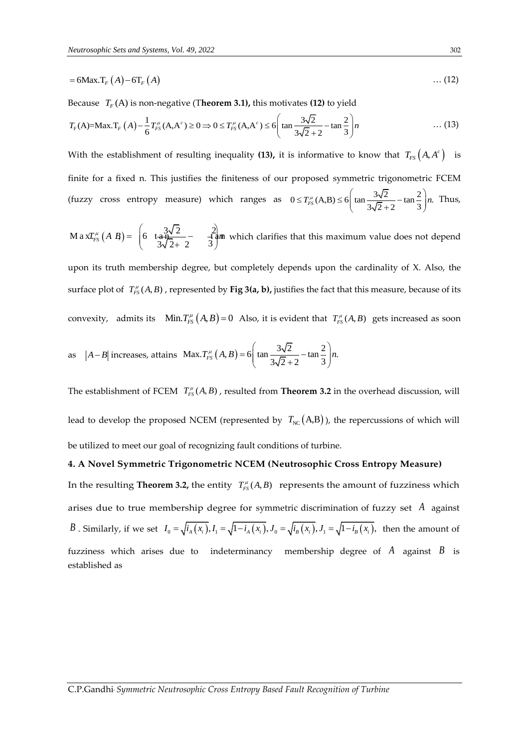$$
=6\text{Max.}T_F(A)-6T_F(A) \tag{12}
$$

Because  $T_F(A)$  is non-negative (T**heorem 3.1),** this motivates **(12)** to yield

Because 
$$
T_F(A)
$$
 is non-negative (Theorem 3.1), this motivates (12) to yield  
\n
$$
T_F(A)=\text{Max.}T_F(A)-\frac{1}{6}T_{FS}^{\mu}(A,A^c) \ge 0 \Rightarrow 0 \le T_{FS}^{\mu}(A,A^c) \le 6\left(\tan\frac{3\sqrt{2}}{3\sqrt{2}+2}-\tan\frac{2}{3}\right)n \quad \text{...(13)}
$$

With the establishment of resulting inequality (13), it is informative to know that  $T_{_{FS}}\big(A,A^c\big)$  is finite for a fixed n. This justifies the finiteness of our proposed symmetric trigonometric FCEM (fuzzy cross entropy measure) which ranges as  $0 \le T_{FS}^{\mu}(A,B) \le 6 \left(\tan \frac{3\sqrt{2}}{2} - \tan \frac{2}{3}\right)n$ .  $rac{3\sqrt{2}}{3\sqrt{2}+2}$  -  $\tan \frac{2}{3}$  $\leq T_{FS}^{\mu}(A,B) \leq 6\left(\tan \frac{3\sqrt{2}}{3\sqrt{2}+2} - \tan \frac{2}{3}\right)n$ . T Thus,

$$
\text{M a x} T_{FS}^{\mu} \left( A \ B \right) = \begin{pmatrix} 3\sqrt{2} & 2 \\ 6 & \frac{3\sqrt{2}}{3\sqrt{2} + 2} - \frac{2}{3} \end{pmatrix} \text{ which clarifies that this maximum value does not depend}
$$

upon its truth membership degree, but completely depends upon the cardinality of X. Also, the surface plot of  $T_{FS}^{\mu}(A,B)$  , represented by **Fig 3(a, b),** justifies the fact that this measure, because of its convexity, admits its  $Min.T_{FS}^{\mu}(A,B)=0$  Also, it is evident that  $T_{FS}^{\mu}(A,B)$  gets increased as soon

as 
$$
|A - B|
$$
 increases, attains Max. $T_{FS}^{\mu}(A, B) = 6\left(\tan \frac{3\sqrt{2}}{3\sqrt{2} + 2} - \tan \frac{2}{3}\right)n$ .

The establishment of FCEM  $T_{FS}^{\mu}(A, B)$ , resulted from **Theorem 3.2** in the overhead discussion, will lead to develop the proposed NCEM (represented by  $\, T_{_{\rm NC}} ({\rm A}, {\rm B})$  ), the repercussions of which will be utilized to meet our goal of recognizing fault conditions of turbine.

#### **4. A Novel Symmetric Trigonometric NCEM (Neutrosophic Cross Entropy Measure)**

In the resulting **Theorem 3.2,** the entity  $T_{FS}^{\mu}(A,B)$  represents the amount of fuzziness which arises due to true membership degree for symmetric discrimination of fuzzy set *A* against arises due to true membership degree for symmetric discrimination of fuzzy set A against  $B$ . Similarly, if we set  $I_0 = \sqrt{i_A(x_i)}$ ,  $I_1 = \sqrt{1-i_A(x_i)}$ ,  $J_0 = \sqrt{i_B(x_i)}$ ,  $J_1 = \sqrt{1-i_B(x_i)}$ , then the amount of fuzziness which arises due to indeterminancy membership degree of *A* against *B* is established as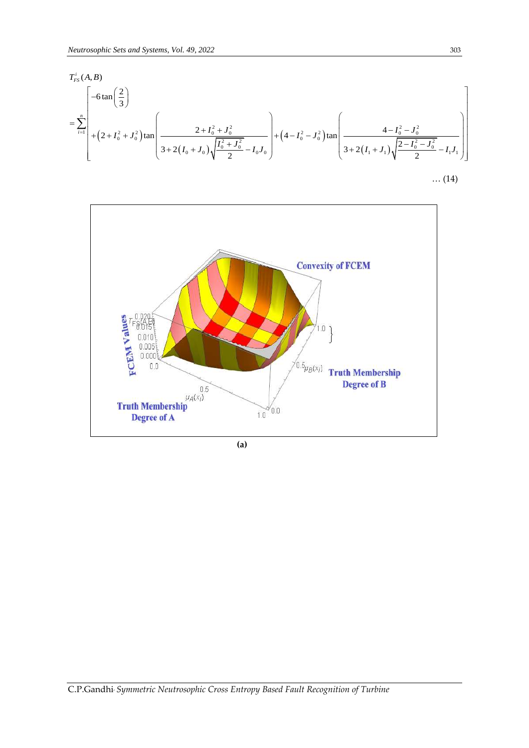*Neutronophic Sets and Systems, Vol. 49, 2022*  
\n
$$
T_{FS}^{i}(A, B)
$$
\n
$$
= \sum_{i=1}^{n} \left[ -6 \tan \left( \frac{2}{3} \right) + (2 + I_0^2 + J_0^2) \tan \left( \frac{2 + I_0^2 + J_0^2}{3 + 2(I_0 + J_0)} \right) + (4 - I_0^2 - J_0^2) \tan \left( \frac{4 - I_0^2 - J_0^2}{3 + 2(I_1 + J_1)} \right) \right]
$$
\n
$$
= \sum_{i=1}^{n} \left[ + (2 + I_0^2 + J_0^2) \tan \left( \frac{2 + I_0^2 + J_0^2}{3 + 2(I_0 + J_0)} \right) + (4 - I_0^2 - J_0^2) \tan \left( \frac{4 - I_0^2 - J_0^2}{3 + 2(I_1 + J_1)} \right) \right]
$$



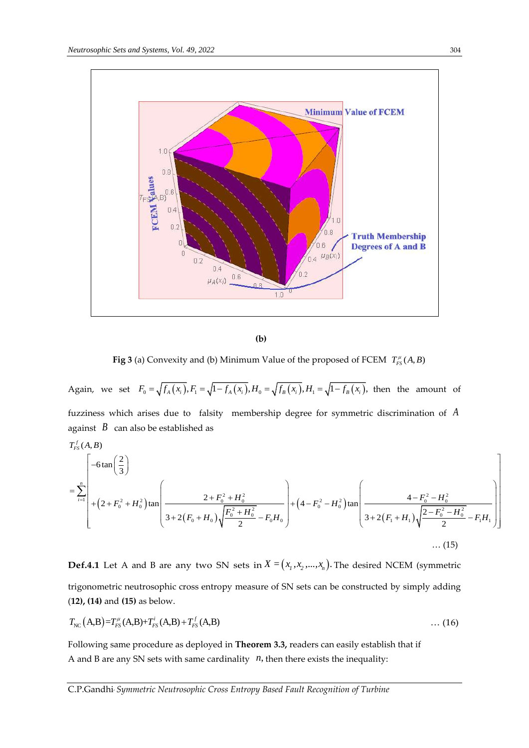

 **(b)** 

**Fig 3** (a) Convexity and (b) Minimum Value of the proposed of FCEM  $T_{FS}^{\mu}(A, B)$ 

Again, we set  $F_0 = \sqrt{f_A(x_i)}$ ,  $F_1 = \sqrt{1 - f_A(x_i)}$ ,  $H_0 = \sqrt{f_B(x_i)}$ ,  $H_1 = \sqrt{1 - f_B(x_i)}$ , then the amount of fuzziness which arises due to falsity membership degree for symmetric discrimination of *A* against  $\,B\,$  can also be established as zines:<br>  $\text{inst}$ <br>  $(A, B)$ fuzzines<br>against<br> $T_{FS}^f(A, B$ 

tuzziness which arises due to *t*ality membership degree for symmetric discrimination of *A*  
against *B* can also be established as  

$$
T_{FS}^f(A, B)
$$

$$
= \sum_{i=1}^n \left[ -6 \tan\left(\frac{2}{3}\right) + \left(2 + F_0^2 + H_0^2\right) \tan\left(\frac{2 + F_0^2 + H_0^2}{3 + 2\left(F_0 + H_0\right)\sqrt{\frac{F_0^2 + H_0^2}{2}}} - F_0 H_0 \right) + \left(4 - F_0^2 - H_0^2\right) \tan\left(\frac{4 - F_0^2 - H_0^2}{3 + 2\left(F_1 + H_1\right)\sqrt{\frac{2 - F_0^2 - H_0^2}{2}}} - F_1 H_1 \right) \right]
$$
...(15)

**Def.4.1** Let A and B are any two SN sets in  $X = (x_1, x_2, ..., x_n)$ . The desired NCEM (symmetric trigonometric neutrosophic cross entropy measure of SN sets can be constructed by simply adding (**12), (14)** and **(15)** as below.

$$
T_{\rm NC}(A,B)=T_{FS}^{\mu}(A,B)+T_{FS}^{i}(A,B)+T_{FS}^{f}(A,B) \qquad \qquad \dots (16)
$$

Following same procedure as deployed in **Theorem 3.3,** readers can easily establish that if A and B are any SN sets with same cardinality  $n$ , then there exists the inequality:

C.P.Gandhi, *Symmetric Neutrosophic Cross Entropy Based Fault Recognition of Turbine*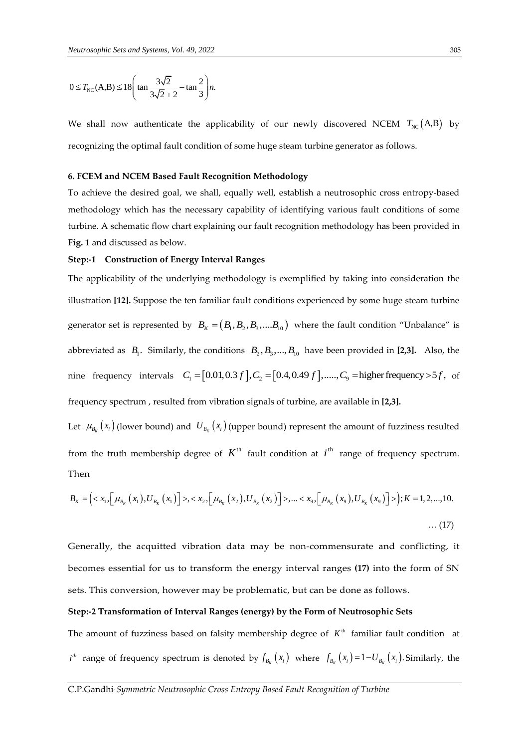$$
0 \le T_{\text{NC}}(A,B) \le 18 \left( \tan \frac{3\sqrt{2}}{3\sqrt{2} + 2} - \tan \frac{2}{3} \right) n.
$$

We shall now authenticate the applicability of our newly discovered NCEM  $T_{\text{\tiny NC}}\text{(A,B)}$  by recognizing the optimal fault condition of some huge steam turbine generator as follows.

#### **6. FCEM and NCEM Based Fault Recognition Methodology**

To achieve the desired goal, we shall, equally well, establish a neutrosophic cross entropy-based methodology which has the necessary capability of identifying various fault conditions of some turbine. A schematic flow chart explaining our fault recognition methodology has been provided in **Fig. 1** and discussed as below.

#### **Step:-1 Construction of Energy Interval Ranges**

The applicability of the underlying methodology is exemplified by taking into consideration the illustration **[12].** Suppose the ten familiar fault conditions experienced by some huge steam turbine generator set is represented by  $B_K = (B_1, B_2, B_3, ....B_{10})$  where the fault condition "Unbalance" is abbreviated as  $B_1$ . Similarly, the conditions  $B_2, B_3, ..., B_{10}$  have been provided in [2,3]. Also, the abbreviated as  $B_1$ . Similarly, the conditions  $B_2, B_3, ..., B_{10}$  have been provided in [2,3]. Also, the nine frequency intervals  $C_1 = [0.01, 0.3 f], C_2 = [0.4, 0.49 f], ..., C_9$  = higher frequency > 5 *f*, of frequency spectrum , resulted from vibration signals of turbine, are available in **[2,3].**

Let  $\mu_{B_K}(x_i)$  (lower bound) and  $U_{B_K}(x_i)$  (upper bound) represent the amount of fuzziness resulted from the truth membership degree of  $K^{\text{th}}$  fault condition at  $i^{\text{th}}$  range of frequency spectrum. Then *B<sub>K</sub>* =  $\left( \langle x_1, \left[ \mu_{B_K}(x_1), U_{B_K}(x_1) \right] \rangle, \langle x_2, \left[ \mu_{B_K}(x_2), U_{B_K}(x_2) \right] \rangle, \dots, \langle x_9, \left[ \mu_{B_K}(x_9), U_{B_K}(x_9) \right] \rangle \right); K = 1, 2, \dots, 10.$ en and themselving degree of 12 here estimates as  $t = \max_{x \in S} e^{-\frac{1}{2} \sum_{k=1}^{n} \sum_{k=1}^{n} \sum_{k=1}^{n} \sum_{k=1}^{n} \sum_{k=1}^{n} \sum_{k=1}^{n} \sum_{k=1}^{n} (x_{k})^{k}}$ <br>=  $\left\{ \langle x_{1}, \left[ \mu_{B_{K}}(x_{1}), U_{B_{K}}(x_{1}) \right] \rangle, \langle x_{2}, \left[ \mu_{B_{K}}(x_{2}), U_{B_{K$ 

$$
B_{K} = \left( \langle x_{1}, \left[ \mu_{B_{K}}(x_{1}), U_{B_{K}}(x_{1}) \right] \rangle, \langle x_{2}, \left[ \mu_{B_{K}}(x_{2}), U_{B_{K}}(x_{2}) \right] \rangle, \dots, \langle x_{9}, \left[ \mu_{B_{K}}(x_{9}), U_{B_{K}}(x_{9}) \right] \rangle \right); K = 1, 2, \dots, 10.
$$
\n(17)

Generally, the acquitted vibration data may be non-commensurate and conflicting, it becomes essential for us to transform the energy interval ranges **(17)** into the form of SN sets. This conversion, however may be problematic, but can be done as follows.

#### **Step:-2 Transformation of Interval Ranges (energy) by the Form of Neutrosophic Sets**

The amount of fuzziness based on falsity membership degree of  $K<sup>th</sup>$  familiar fault condition at  $i^h$  range of frequency spectrum is denoted by  $f_{B_K}(x_i)$  where  $f_{B_K}(x_i) = 1-U_{B_K}(x_i)$ . Similarly, the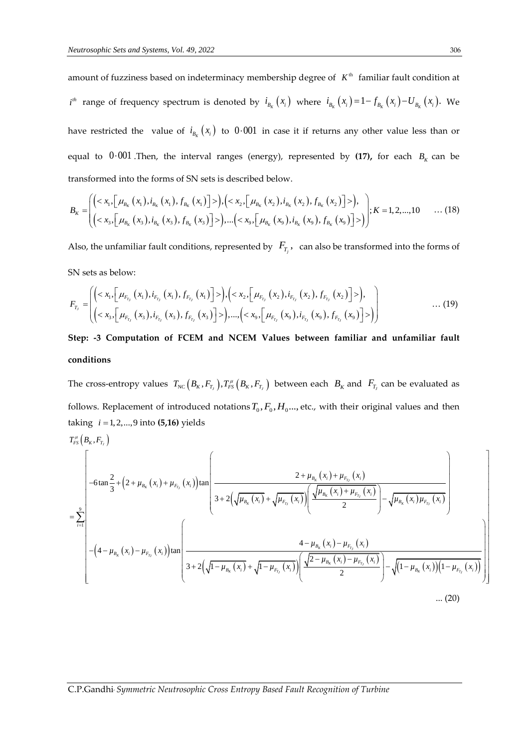amount of fuzziness based on indeterminacy membership degree of  $K^{\text{th}}$  familiar fault condition at  $i^{th}$  range of frequency spectrum is denoted by  $i_{B_K}(x_i)$  where  $i_{B_K}(x_i) = 1 - f_{B_K}(x_i) - U_{B_K}(x_i)$ . We have restricted the value of  $i_{B_K}(x_i)$  to  $0.001$  in case it if returns any other value less than or equal to  $0.001$  Then, the interval ranges (energy), represented by (17), for each  $B<sub>K</sub>$  can be transformed into the forms of SN sets is described below. and into the forms of SN sets is described below.<br>  $x_1, \left[ \mu_{B_K}(x_1), i_{B_K}(x_1), f_{B_K}(x_1) \right] >$ ),  $\left( \langle x_2, \left[ \mu_{B_K}(x_2), i_{B_K}(x_2), f_{B_K}(x_2) \right] \rangle \right)$ , into the forms of SN sets is described below.<br>  $\mu_{B_K}(x_1), i_{B_K}(x_1), f_{B_K}(x_1) >$ ,  $\left( < x_2, \left[ \mu_{B_K}(x_2), i_{B_K}(x_1) \right] \right)$ 

transformed into the forms of SN sets is described below.  
\n
$$
B_{K} = \left( \left\langle x_{1}, \left[ \mu_{B_{K}}(x_{1}), i_{B_{K}}(x_{1}), f_{B_{K}}(x_{1}) \right] \right\rangle \right) , \left\langle x_{2}, \left[ \mu_{B_{K}}(x_{2}), i_{B_{K}}(x_{2}), f_{B_{K}}(x_{2}) \right] \right\rangle \right), K = 1, 2, ..., 10 \quad ... (18)
$$
\n
$$
\left( \langle x_{3}, \left[ \mu_{B_{K}}(x_{3}), i_{B_{K}}(x_{3}), f_{B_{K}}(x_{3}) \right] \rangle \right) , \dots \left( \langle x_{9}, \left[ \mu_{B_{K}}(x_{9}), i_{B_{K}}(x_{9}), f_{B_{K}}(x_{9}) \right] \rangle \right) \right); K = 1, 2, ..., 10 \quad ... (18)
$$

Also, the unfamiliar fault conditions, represented by  $|F_{T_j}|$ , can also be transformed into the forms of SN sets as below:

SN sets as below:  
\n
$$
F_{T_j} = \left( \left\langle z_{1_1} \left[ \mu_{F_{T_j}}(x_1), i_{F_{T_j}}(x_1), f_{F_{T_j}}(x_1) \right] \right\rangle \right), \left\langle z_{2_2} \left[ \mu_{F_{T_j}}(x_2), i_{F_{T_j}}(x_2), f_{F_{T_j}}(x_2) \right] \right\rangle \right), \dots, \left\langle z_{N_9} \left[ \mu_{F_{T_j}}(x_9), i_{F_{T_j}}(x_9), f_{F_{T_j}}(x_9) \right] \right\rangle \right) \dots, (19)
$$
\n(19)

# **Step: -3 Computation of FCEM and NCEM Values between familiar and unfamiliar fault conditions**

The cross-entropy values  $T_{NC} (B_K, F_{T_J})$ ,  $T_{FS}^{\mu} (B_K, F_{T_J})$  between each  $B_K$  and  $F_{T_J}$  can be evaluated as follows. Replacement of introduced notations  $T_0$ ,  $F_0$ ,  $H_0$ ..., etc., with their original values and then taking  $i = 1, 2, ..., 9$  into (**5,16**) yields  $T_{FS}^{\mu} (B_K, F_{T_J})$  $i = 1, 2, ..., 9$  into  $(5, 16)$  yields iking  $i =$ <br> *FS*  $(B_K, F_{T_J})$ 

taking 
$$
i = 1, 2, ..., 9
$$
 into (5,16) yields  
\n
$$
T_{FS}^{\mu} (B_K, F_{T_j})
$$
\n
$$
= \sum_{i=1}^{9}
$$
\n
$$
-6 \tan \frac{2}{3} + (2 + \mu_{B_K}(x_i) + \mu_{F_{T_j}}(x_i)) \tan \left( \frac{2 + \mu_{B_K}(x_i) + \mu_{F_{T_j}}(x_i)}{3 + 2(\sqrt{\mu_{B_K}(x_i)} + \sqrt{\mu_{F_{T_j}}(x_i)})} \right) \frac{\sqrt{\mu_{B_K}(x_i) + \mu_{F_{T_j}}(x_i)}}{2} - \sqrt{\mu_{B_K}(x_i) \mu_{F_{T_j}}(x_i)}
$$
\n
$$
- (4 - \mu_{B_K}(x_i) - \mu_{F_{T_j}}(x_i)) \tan \left( \frac{4 - \mu_{B_K}(x_i) - \mu_{F_{T_j}}(x_i)}{3 + 2(\sqrt{1 - \mu_{B_K}(x_i)} + \sqrt{1 - \mu_{F_{T_j}}(x_i)})} \right) \frac{\sqrt{2 - \mu_{B_K}(x_i) - \mu_{F_{T_j}}(x_i)}}{2} - \sqrt{(1 - \mu_{B_K}(x_i)) (1 - \mu_{F_{T_j}}(x_i))} \right)
$$
\n...(20)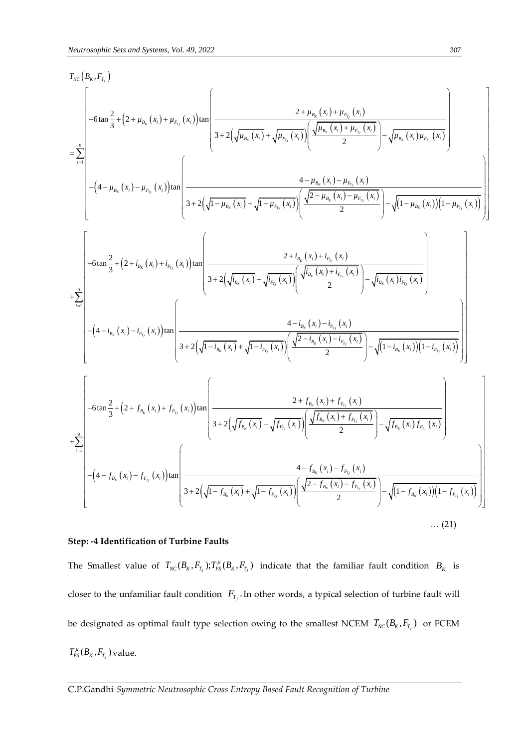Neutrosepptic Sets and Systems, Vol. 49, 2022  
\n
$$
T_{\text{xc}}(P_{\text{g},r},F_{\text{r}})
$$
\n
$$
= \sum_{r=1}^{8} \left[ -6 \tan \frac{2}{3} + \left( 2 + \mu_{\text{p}_{\text{e}}}(x_{r}) + \mu_{\text{p}_{\text{p}_{\text{c}}}(x_{r}) \right) \tan \left( \frac{2 + \mu_{\text{p}_{\text{e}}}(x_{r}) + \mu_{\text{p}_{\text{p}_{\text{c}}}(x_{r})}{3 + 2 \left( \sqrt{\mu_{\text{p}_{\text{e}}}(x_{r}) + \sqrt{\mu_{\text{p}_{\text{p}_{\text{c}}}(x_{r})}} \right) \left( \frac{\sqrt{\mu_{\text{p}_{\text{e}}}(x_{r}) + \mu_{\text{p}_{\text{p}_{\text{c}}}(x_{r})}}}{2} \right) - \sqrt{\mu_{\text{p}_{\text{e}}}(x_{r}) \mu_{\text{p}_{\text{p}_{\text{c}}}(x_{r})}} \right]
$$
\n
$$
= \sum_{r=1}^{8} \left[ -\left( 4 - \mu_{\text{p}_{\text{e}}}(x_{r}) - \mu_{\text{p}_{\text{e}}}(x_{r}) \right) \tan \left( \frac{4 - \mu_{\text{p}_{\text{e}}}(x_{r}) - \mu_{\text{p}_{\text{e}}}(x_{r})}{3 + 2 \left( \sqrt{1 - \mu_{\text{p}_{\text{e}}}(x_{r}) + \sqrt{1 - \mu_{\text{p}_{\text{e}}}(x_{r})} \right) \left( \frac{\sqrt{2 - \mu_{\text{p}_{\text{e}}}(x_{r}) - \mu_{\text{p}_{\text{e}}}(x_{r})}{2} \right) - \sqrt{\mu_{\text{p}_{\text{e}}}(x_{r}) \left( 1 - \mu_{\text{p}_{\text{e}}}(x_{r}) \right) \left( 1 - \mu_{\text{p}_{\text{e}}}(x_{r}) \right) \right]
$$
\n
$$
+ \sum_{r=1}^{8} \left[ -\left( 4 - i_{\text{p}_{\text{e}}}(x_{r}) - i_{\text{p}_{\text{e}}}(x_{r}) \right) \tan \left( \frac{2 + i_{\text{p}_{\text{e}}}(x_{r}) + \mu_{\text{p
$$

#### $\ldots$  (21)

# **Step: -4 Identification of Turbine Faults**

The Smallest value of  $T_{NC}(B_K, F_{T_I})$ ;  $T_{FS}^{\mu}(B_K, F_{T_I})$  indicate that the familiar fault condition  $B_K$  is closer to the unfamiliar fault condition  $F_{T_J}$ . In other words, a typical selection of turbine fault will be designated as optimal fault type selection owing to the smallest NCEM  $T_{\text{NC}}(B_{\text{K}}, F_{T_j})$  or FCEM  $T_{FS}^\mu(B_{\scriptscriptstyle K},F_{\scriptscriptstyle T_{\scriptscriptstyle J}})$  value.

C.P.Gandhi, *Symmetric Neutrosophic Cross Entropy Based Fault Recognition of Turbine*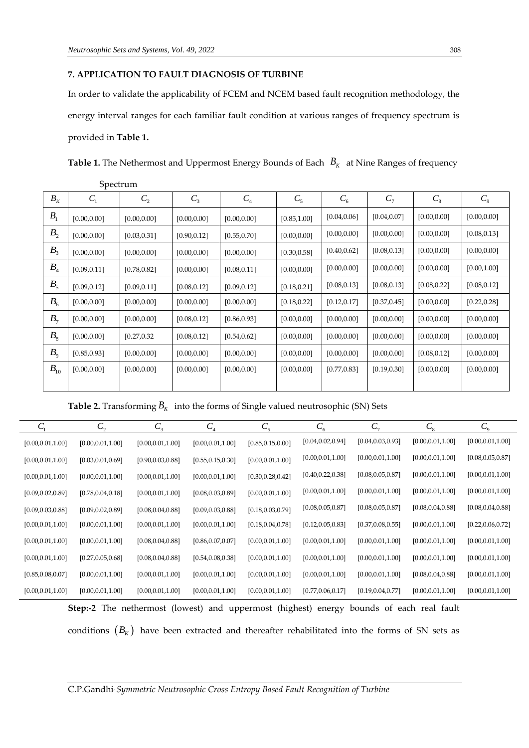## **7. APPLICATION TO FAULT DIAGNOSIS OF TURBINE**

In order to validate the applicability of FCEM and NCEM based fault recognition methodology, the energy interval ranges for each familiar fault condition at various ranges of frequency spectrum is provided in **Table 1.**

**Table 1.** The Nethermost and Uppermost Energy Bounds of Each  $~B_{_K}~$  at Nine Ranges of frequency

|                | Spectrum       |                |              |              |              |              |              |              |              |
|----------------|----------------|----------------|--------------|--------------|--------------|--------------|--------------|--------------|--------------|
| $B_{K}$        | C <sub>1</sub> | C <sub>2</sub> | $C_3$        | $C_4$        | $C_5$        | $C_6$        | $C_7$        | $C_{8}$      | $C_{9}$      |
| B <sub>1</sub> | [0.00, 0.00]   | [0.00, 0.00]   | [0.00, 0.00] | [0.00, 0.00] | [0.85, 1.00] | [0.04, 0.06] | [0.04, 0.07] | [0.00, 0.00] | [0.00, 0.00] |
| B <sub>2</sub> | [0.00, 0.00]   | [0.03, 0.31]   | [0.90, 0.12] | [0.55, 0.70] | [0.00, 0.00] | [0.00, 0.00] | [0.00, 0.00] | [0.00, 0.00] | [0.08, 0.13] |
| B <sub>3</sub> | [0.00, 0.00]   | [0.00, 0.00]   | [0.00, 0.00] | [0.00, 0.00] | [0.30, 0.58] | [0.40, 0.62] | [0.08, 0.13] | [0.00, 0.00] | [0.00, 0.00] |
| $B_{4}$        | [0.09, 0.11]   | [0.78, 0.82]   | [0.00, 0.00] | [0.08, 0.11] | [0.00, 0.00] | [0.00, 0.00] | [0.00, 0.00] | [0.00, 0.00] | [0.00, 1.00] |
| B <sub>5</sub> | [0.09, 0.12]   | [0.09, 0.11]   | [0.08, 0.12] | [0.09, 0.12] | [0.18, 0.21] | [0.08, 0.13] | [0.08, 0.13] | [0.08, 0.22] | [0.08, 0.12] |
| $B_{6}$        | [0.00, 0.00]   | [0.00, 0.00]   | [0.00, 0.00] | [0.00, 0.00] | [0.18, 0.22] | [0.12, 0.17] | [0.37, 0.45] | [0.00, 0.00] | [0.22, 0.28] |
| $B_7$          | [0.00, 0.00]   | [0.00, 0.00]   | [0.08, 0.12] | [0.86, 0.93] | [0.00, 0.00] | [0.00, 0.00] | [0.00, 0.00] | [0.00, 0.00] | [0.00, 0.00] |
| $B_{8}$        | [0.00, 0.00]   | [0.27, 0.32]   | [0.08, 0.12] | [0.54, 0.62] | [0.00, 0.00] | [0.00, 0.00] | [0.00, 0.00] | [0.00, 0.00] | [0.00, 0.00] |
| $B_{\rm o}$    | [0.85, 0.93]   | [0.00, 0.00]   | [0.00, 0.00] | [0.00, 0.00] | [0.00, 0.00] | [0.00, 0.00] | [0.00, 0.00] | [0.08, 0.12] | [0.00, 0.00] |
| $B_{10}$       | [0.00, 0.00]   | [0.00, 0.00]   | [0.00, 0.00] | [0.00, 0.00] | [0.00, 0.00] | [0.77, 0.83] | [0.19, 0.30] | [0.00, 0.00] | [0.00, 0.00] |
|                |                |                |              |              |              |              |              |              |              |

**Table 2.** Transforming  $B_K\;$  into the forms of Single valued neutrosophic (SN) Sets

| $C_{1}$            | $C_{\gamma}$       | $C_{\rm a}$        | $C_{\scriptscriptstyle{A}}$ | $C_{\rm s}$        | $C_{\epsilon}$     | $C_{\tau}$         | $C_{\rm g}$        | $C_{\rm q}$        |
|--------------------|--------------------|--------------------|-----------------------------|--------------------|--------------------|--------------------|--------------------|--------------------|
| [0.00, 0.01, 1.00] | [0.00, 0.01, 1.00] | [0.00, 0.01, 1.00] | [0.00, 0.01, 1.00]          | [0.85, 0.15, 0.00] | [0.04, 0.02, 0.94] | [0.04, 0.03, 0.93] | [0.00, 0.01, 1.00] | [0.00, 0.01, 1.00] |
| [0.00, 0.01, 1.00] | [0.03, 0.01, 0.69] | [0.90, 0.03, 0.88] | [0.55, 0.15, 0.30]          | [0.00, 0.01, 1.00] | [0.00, 0.01, 1.00] | [0.00, 0.01, 1.00] | [0.00, 0.01, 1.00] | [0.08, 0.05, 0.87] |
| [0.00, 0.01, 1.00] | [0.00, 0.01, 1.00] | [0.00, 0.01, 1.00] | [0.00, 0.01, 1.00]          | [0.30, 0.28, 0.42] | [0.40, 0.22, 0.38] | [0.08, 0.05, 0.87] | [0.00, 0.01, 1.00] | [0.00, 0.01, 1.00] |
| [0.09, 0.02, 0.89] | [0.78, 0.04, 0.18] | [0.00, 0.01, 1.00] | [0.08, 0.03, 0.89]          | [0.00, 0.01, 1.00] | [0.00, 0.01, 1.00] | [0.00, 0.01, 1.00] | [0.00, 0.01, 1.00] | [0.00, 0.01, 1.00] |
| [0.09, 0.03, 0.88] | [0.09, 0.02, 0.89] | [0.08, 0.04, 0.88] | [0.09, 0.03, 0.88]          | [0.18, 0.03, 0.79] | [0.08, 0.05, 0.87] | [0.08, 0.05, 0.87] | [0.08, 0.04, 0.88] | [0.08, 0.04, 0.88] |
| [0.00, 0.01, 1.00] | [0.00, 0.01, 1.00] | [0.00, 0.01, 1.00] | [0.00, 0.01, 1.00]          | [0.18, 0.04, 0.78] | [0.12, 0.05, 0.83] | [0.37, 0.08, 0.55] | [0.00, 0.01, 1.00] | [0.22, 0.06, 0.72] |
| [0.00, 0.01, 1.00] | [0.00, 0.01, 1.00] | [0.08, 0.04, 0.88] | [0.86, 0.07, 0.07]          | [0.00, 0.01, 1.00] | [0.00, 0.01, 1.00] | [0.00, 0.01, 1.00] | [0.00, 0.01, 1.00] | [0.00, 0.01, 1.00] |
| [0.00, 0.01, 1.00] | [0.27, 0.05, 0.68] | [0.08, 0.04, 0.88] | [0.54, 0.08, 0.38]          | [0.00, 0.01, 1.00] | [0.00, 0.01, 1.00] | [0.00, 0.01, 1.00] | [0.00, 0.01, 1.00] | [0.00, 0.01, 1.00] |
| [0.85, 0.08, 0.07] | [0.00, 0.01, 1.00] | [0.00, 0.01, 1.00] | [0.00, 0.01, 1.00]          | [0.00, 0.01, 1.00] | [0.00, 0.01, 1.00] | [0.00, 0.01, 1.00] | [0.08, 0.04, 0.88] | [0.00, 0.01, 1.00] |
| [0.00, 0.01, 1.00] | [0.00, 0.01, 1.00] | [0.00, 0.01, 1.00] | [0.00, 0.01, 1.00]          | [0.00, 0.01, 1.00] | [0.77, 0.06, 0.17] | [0.19, 0.04, 0.77] | [0.00, 0.01, 1.00] | [0.00, 0.01, 1.00] |

**Step:-2** The nethermost (lowest) and uppermost (highest) energy bounds of each real fault conditions  $(B_{\scriptscriptstyle{K}})$  have been extracted and thereafter rehabilitated into the forms of SN sets as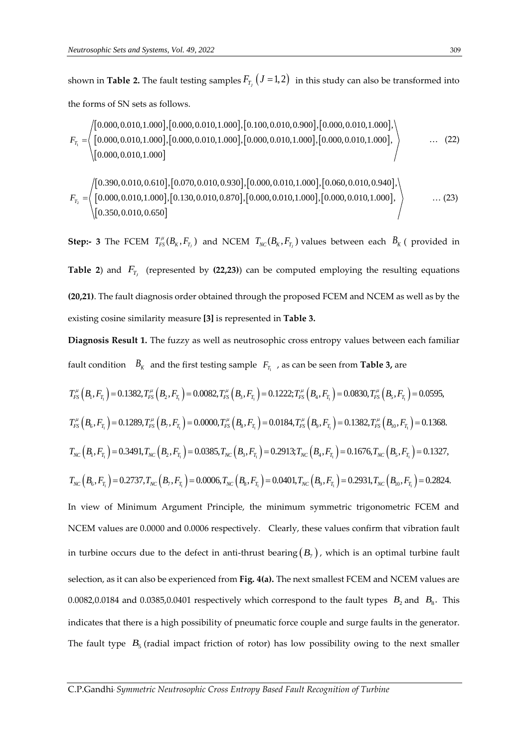shown in **Table 2.** The fault testing samples  $F_{_{T_j}}(J=1,2)$  in this study can also be transformed into the forms of SN sets as follows.

the forms of SN sets as follows.  
\n
$$
F_{T_1} = \left\langle \begin{bmatrix} 0.000, 0.010, 1.000 \end{bmatrix}, [0.000, 0.010, 1.000], [0.100, 0.010, 0.900], [0.000, 0.010, 1.000], \\ [0.000, 0.010, 1.000], [0.000, 0.010, 1.000], [0.000, 0.010, 1.000], [0.000, 0.010, 1.000], \end{bmatrix} \right\rangle
$$
\n(22)

$$
\left\langle \left[0.000, 0.010, 1.000\right] \right\rangle
$$
\n
$$
F_{T_2} = \left\langle \left[0.390, 0.010, 0.610\right], \left[0.070, 0.010, 0.930\right], \left[0.000, 0.010, 1.000\right], \left[0.060, 0.010, 0.940\right], \left[0.000, 0.010, 1.000\right], \left[0.350, 0.010, 0.650\right] \right\}
$$
\n... (23)

**Step:-** 3 The FCEM  $T_{FS}^{\mu}(B_K, F_{T_J})$  and NCEM  $T_{NC}(B_K, F_{T_J})$  values between each  $B_K$  ( provided in **Table** 2) and  $F_{T_j}$  (represented by (22,23)) can be computed employing the resulting equations **(20,21)**. The fault diagnosis order obtained through the proposed FCEM and NCEM as well as by the existing cosine similarity measure **[3]** is represented in **Table 3.**

**Diagnosis Result 1.** The fuzzy as well as neutrosophic cross entropy values between each familiar fault condition  $B_K$  and the first testing sample  $F_{T_1}$ , as can be seen from **Table 3,** are

fault condition 
$$
B_K
$$
 and the first testing sample  $F_{T_1}$ , as can be seen from **Table 3**, are  
\n $T_{FS}^{\mu}(B_1, F_{T_1}) = 0.1382$ ,  $T_{FS}^{\mu}(B_2, F_{T_1}) = 0.0082$ ,  $T_{FS}^{\mu}(B_3, F_{T_1}) = 0.1222$ ;  $T_{FS}^{\mu}(B_4, F_{T_1}) = 0.0830$ ,  $T_{FS}^{\mu}(B_5, F_{T_1}) = 0.0595$ ,  
\n $T_{FS}^{\mu}(B_6, F_{T_1}) = 0.1289$ ,  $T_{FS}^{\mu}(B_7, F_{T_1}) = 0.0000$ ,  $T_{FS}^{\mu}(B_8, F_{T_1}) = 0.0184$ ,  $T_{FS}^{\mu}(B_9, F_{T_1}) = 0.1382$ ,  $T_{FS}^{\mu}(B_{10}, F_{T_1}) = 0.1368$ .  
\n $T_{NC}(B_1, F_{T_1}) = 0.3491$ ,  $T_{NC}(B_2, F_{T_1}) = 0.0385$ ,  $T_{NC}(B_3, F_{T_1}) = 0.2913$ ;  $T_{NC}(B_4, F_{T_1}) = 0.1676$ ,  $T_{NC}(B_5, F_{T_1}) = 0.1327$ ,  
\n $T_{NC}(B_6, F_{T_1}) = 0.2737$ ,  $T_{NC}(B_7, F_{T_1}) = 0.0006$ ,  $T_{NC}(B_8, F_{T_1}) = 0.0401$ ,  $T_{NC}(B_9, F_{T_1}) = 0.2931$ ,  $T_{NC}(B_{10}, F_{T_1}) = 0.2824$ .  
\nIn view of Minimum Argument Principle, the minimum symmetric trigonometric FCEM and  
\nNCEM values are 0.0000 and 0.0006 respectively. Clearly, these values confirm that vibration fault  
\nin turbine occurs due to the defect in anti-thrust bearing  $(B_7)$ , which is an optimal turbine fault  
\nselectron, as it can also be experienced from Fig. 4(a). The next smallest FCEM and NCEM values are  
\n0.0082,0.0184

The fault type  $B_5$  (radial impact friction of rotor) has low possibility owing to the next smaller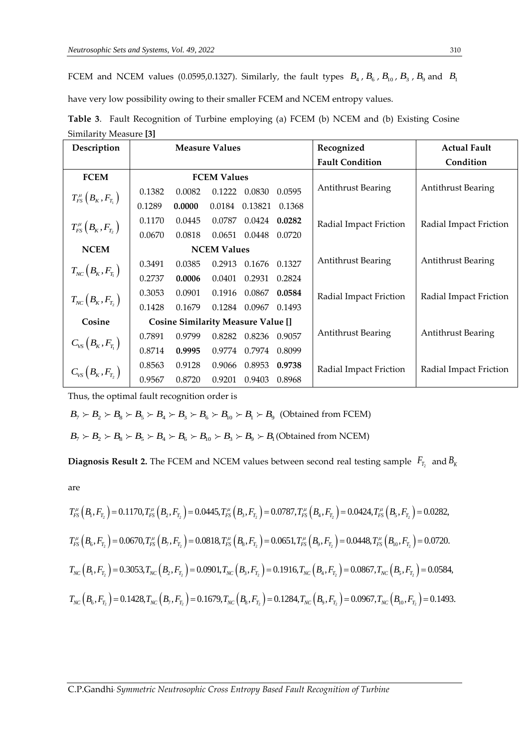FCEM and NCEM values (0.0595,0.1327). Similarly, the fault types  $B_4$ ,  $B_6$ ,  $B_{10}$ ,  $B_3$ ,  $B_9$  and  $B_1$ 

have very low possibility owing to their smaller FCEM and NCEM entropy values.

| Description                                                                                                                                                       | <b>Measure Values</b> |                                           |                    |                      |        | Recognized                | <b>Actual Fault</b>       |  |
|-------------------------------------------------------------------------------------------------------------------------------------------------------------------|-----------------------|-------------------------------------------|--------------------|----------------------|--------|---------------------------|---------------------------|--|
|                                                                                                                                                                   |                       |                                           |                    |                      |        | <b>Fault Condition</b>    | Condition                 |  |
| <b>FCEM</b>                                                                                                                                                       |                       |                                           | <b>FCEM Values</b> |                      |        |                           |                           |  |
| $T_{FS}^{\mu}\left(B_{\scriptscriptstyle{K}},F_{_{_{\scriptscriptstyle{I}}}}\right)$                                                                              | 0.1382                | 0.0082                                    |                    | 0.1222 0.0830        | 0.0595 | <b>Antithrust Bearing</b> | <b>Antithrust Bearing</b> |  |
|                                                                                                                                                                   | 0.1289                | 0.0000                                    | 0.0184             | 0.13821              | 0.1368 |                           |                           |  |
| $T_{FS}^\mu\left(B_{\scriptscriptstyle K}, F_{_{T_2}}\right)$                                                                                                     | 0.1170                | 0.0445                                    | 0.0787             | 0.0424               | 0.0282 | Radial Impact Friction    | Radial Impact Friction    |  |
|                                                                                                                                                                   | 0.0670                | 0.0818                                    |                    | 0.0651 0.0448        | 0.0720 |                           |                           |  |
| <b>NCEM</b>                                                                                                                                                       |                       |                                           | <b>NCEM Values</b> |                      |        |                           |                           |  |
|                                                                                                                                                                   | 0.3491                | 0.0385                                    |                    | 0.2913 0.1676 0.1327 |        | <b>Antithrust Bearing</b> | Antithrust Bearing        |  |
| $T_{\scriptscriptstyle NC}\big(B_{\scriptscriptstyle K},F_{\scriptscriptstyle T_1}\big)$                                                                          | 0.2737                | 0.0006                                    | 0.0401             | 0.2931               | 0.2824 |                           |                           |  |
| $T_{\scriptscriptstyle NC}\left(B_{\scriptscriptstyle K}, F_{\scriptscriptstyle T_2}\right)$                                                                      | 0.3053                | 0.0901                                    | 0.1916             | 0.0867               | 0.0584 | Radial Impact Friction    | Radial Impact Friction    |  |
|                                                                                                                                                                   | 0.1428                | 0.1679                                    |                    | 0.1284 0.0967        | 0.1493 |                           |                           |  |
| Cosine                                                                                                                                                            |                       | <b>Cosine Similarity Measure Value []</b> |                    |                      |        |                           |                           |  |
|                                                                                                                                                                   | 0.7891                | 0.9799                                    | 0.8282             | 0.8236 0.9057        |        | <b>Antithrust Bearing</b> | <b>Antithrust Bearing</b> |  |
| $\begin{aligned} C_{\text{\tiny VS}}\left(B_{\text{\tiny K}}, F_{_{T_1}}\right) \ \ C_{\text{\tiny VS}}\left(B_{\text{\tiny K}}, F_{_{T_2}}\right) \end{aligned}$ | 0.8714                | 0.9995                                    |                    | 0.9774 0.7974        | 0.8099 |                           |                           |  |
|                                                                                                                                                                   | 0.8563                | 0.9128                                    | 0.9066             | 0.8953               | 0.9738 | Radial Impact Friction    | Radial Impact Friction    |  |
|                                                                                                                                                                   | 0.9567                | 0.8720                                    | 0.9201             | 0.9403               | 0.8968 |                           |                           |  |

| Table 3. Fault Recognition of Turbine employing (a) FCEM (b) NCEM and (b) Existing Cosine |  |  |  |
|-------------------------------------------------------------------------------------------|--|--|--|
| Similarity Measure [3]                                                                    |  |  |  |

Thus, the optimal fault recognition order is

Fhus, the optimal fault recognition order is<br>  $B_7 \succ B_2 \succ B_8 \succ B_5 \succ B_4 \succ B_3 \succ B_6 \succ B_{10} \succ B_1 \succ B_9$  (Obtained from FCEM)

 $B_7 \nsucc B_2 \nsucc B_8 \nsucc B_5 \nsucc B_4 \nsucc B_3 \nsucc B_6 \nsucc B_{10} \nsucc B_1 \nsucc B_9$  (Obtained from NCEM)<br> $B_7 \nsucc B_2 \nsucc B_8 \nsucc B_5 \nsucc B_4 \nsucc B_6 \nsucc B_1 \nsucc B_3 \nsucc B_9 \nsucc B_1$  (Obtained from NCEM)

**Diagnosis Result 2.** The FCEM and NCEM values between second real testing sample  $\, F_{_{T_2}} \,$  and  $B_{_K}$ 

are

are  
\n
$$
T_{FS}^{\mu}\left(B_{1}, F_{T_{2}}\right) = 0.1170, T_{FS}^{\mu}\left(B_{2}, F_{T_{2}}\right) = 0.0445, T_{FS}^{\mu}\left(B_{3}, F_{T_{2}}\right) = 0.0787, T_{FS}^{\mu}\left(B_{4}, F_{T_{2}}\right) = 0.0424, T_{FS}^{\mu}\left(B_{5}, F_{T_{2}}\right) = 0.0282,
$$
\n
$$
T_{FS}^{\mu}\left(B_{6}, F_{T_{2}}\right) = 0.0670, T_{FS}^{\mu}\left(B_{7}, F_{T_{2}}\right) = 0.0818, T_{FS}^{\mu}\left(B_{8}, F_{T_{2}}\right) = 0.0651, T_{FS}^{\mu}\left(B_{9}, F_{T_{2}}\right) = 0.0448, T_{FS}^{\mu}\left(B_{10}, F_{T_{2}}\right) = 0.0720.
$$
\n
$$
T_{NC}\left(B_{1}, F_{T_{2}}\right) = 0.3053, T_{NC}\left(B_{2}, F_{T_{2}}\right) = 0.0901, T_{NC}\left(B_{3}, F_{T_{2}}\right) = 0.1916, T_{NC}\left(B_{4}, F_{T_{2}}\right) = 0.0867, T_{NC}\left(B_{5}, F_{T_{2}}\right) = 0.0584,
$$
\n
$$
T_{NC}\left(B_{6}, F_{T_{2}}\right) = 0.1428, T_{NC}\left(B_{7}, F_{T_{2}}\right) = 0.1679, T_{NC}\left(B_{8}, F_{T_{2}}\right) = 0.1284, T_{NC}\left(B_{9}, F_{T_{2}}\right) = 0.0967, T_{NC}\left(B_{10}, F_{T_{2}}\right) = 0.1493.
$$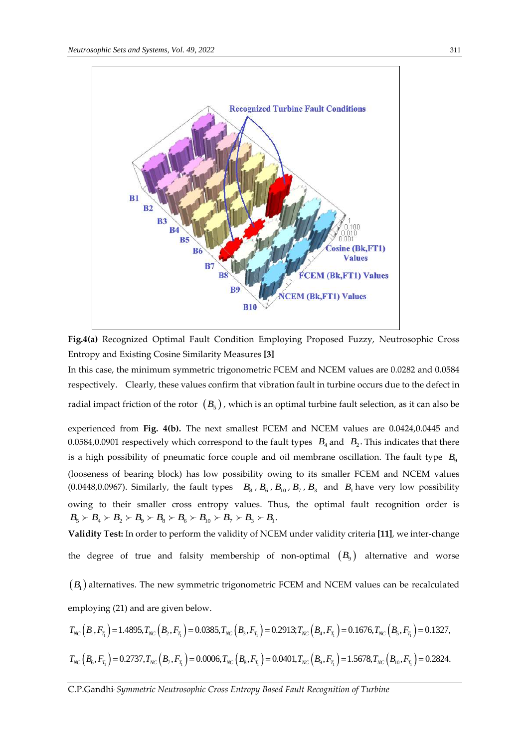

**Fig.4(a)** Recognized Optimal Fault Condition Employing Proposed Fuzzy, Neutrosophic Cross Entropy and Existing Cosine Similarity Measures **[3]**

In this case, the minimum symmetric trigonometric FCEM and NCEM values are 0.0282 and 0.0584 respectively. Clearly, these values confirm that vibration fault in turbine occurs due to the defect in radial impact friction of the rotor  $(B_5)$  , which is an optimal turbine fault selection, as it can also be

experienced from **Fig. 4(b).** The next smallest FCEM and NCEM values are 0.0424,0.0445 and 0.0584,0.0901 respectively which correspond to the fault types  $B_4$  and  $B_2$ . This indicates that there is a high possibility of pneumatic force couple and oil membrane oscillation. The fault type  $B_9$ (looseness of bearing block) has low possibility owing to its smaller FCEM and NCEM values (0.0448,0.0967). Similarly, the fault types  $B_8$ ,  $B_6$ ,  $B_{10}$ ,  $B_7$ ,  $B_3$  and  $B_1$  have very low possibility owing to their smaller cross entropy values. Thus, the optimal fault recognition order is  $B_5 \succ B_4 \succ B_2 \succ B_9 \succ B_8 \succ B_6 \succ B_{10} \succ B_7 \succ B_3 \succ B_1$ .

**Validity Test:** In order to perform the validity of NCEM under validity criteria **[11]**, we inter-change the degree of true and falsity membership of non-optimal  $(B_{9})$  alternative and worse

 $(B_{\text{\tiny I}})$  alternatives. The new symmetric trigonometric FCEM and NCEM values can be recalculated employing (21) and are given below.  $T_{NC}$  ( $B_1$ ,  $F_{T_1}$ ) = 1.4895,  $T_{NC}$  ( $B_2$ ,  $F_{T_1}$ ) = 0.0385,  $T_{NC}$  ( $B_3$ ,  $F_{T_1}$ ) = 0.2913;  $T_{NC}$  ( $B_4$ ,  $F_{T_1}$ ) = 0.1676,  $T_{NC}$  ( $B_5$ ,  $F_{T_1}$ ) = 0.1327, (21) and are given below.<br>= 1.4895, $T_{NC} (B_2, F_{T_1}) = 0.0385$ , $T_{NC} (B_3, F_{T_1}) = 0.2913$ ; $T_{NC} (B_4, F_{T_1}) = 0.1676$ , $T_{NC} (B_5, F_{T_1}) = 0.1327$ ,

$$
T_{NC} (B_1, F_{T_1}) = 1.4895, T_{NC} (B_2, F_{T_1}) = 0.0385, T_{NC} (B_3, F_{T_1}) = 0.2913; T_{NC} (B_4, F_{T_1}) = 0.1676, T_{NC} (B_5, F_{T_1}) = 0.1327,
$$
  

$$
T_{NC} (B_6, F_{T_1}) = 0.2737, T_{NC} (B_7, F_{T_1}) = 0.0006, T_{NC} (B_8, F_{T_1}) = 0.0401, T_{NC} (B_9, F_{T_1}) = 1.5678, T_{NC} (B_{10}, F_{T_1}) = 0.2824.
$$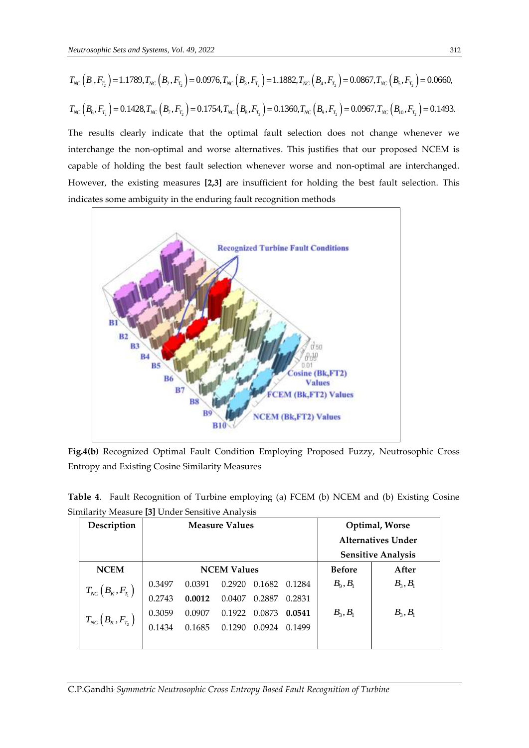*Neutronscopic Sets and Systems, Vol. 49, 2022*  
\n
$$
T_{NC}(B_1, F_{T_2}) = 1.1789, T_{NC}(B_2, F_{T_2}) = 0.0976, T_{NC}(B_3, F_{T_2}) = 1.1882, T_{NC}(B_4, F_{T_2}) = 0.0867, T_{NC}(B_5, F_{T_2}) = 0.0660,
$$
\n
$$
T_{NC}(B_6, F_{T_2}) = 0.1428, T_{NC}(B_7, F_{T_2}) = 0.1754, T_{NC}(B_8, F_{T_2}) = 0.1360, T_{NC}(B_9, F_{T_2}) = 0.0967, T_{NC}(B_{10}, F_{T_2}) = 0.1493.
$$

The results clearly indicate that the optimal fault selection does not change whenever we interchange the non-optimal and worse alternatives. This justifies that our proposed NCEM is capable of holding the best fault selection whenever worse and non-optimal are interchanged. However, the existing measures **[2,3]** are insufficient for holding the best fault selection. This indicates some ambiguity in the enduring fault recognition methods



**Fig.4(b)** Recognized Optimal Fault Condition Employing Proposed Fuzzy, Neutrosophic Cross Entropy and Existing Cosine Similarity Measures

| <b>Description</b> | Measure Values                                                                                   |  | Ontimal Worse |  |
|--------------------|--------------------------------------------------------------------------------------------------|--|---------------|--|
|                    | Similarity Measure [3] Under Sensitive Analysis                                                  |  |               |  |
|                    | <b>Table 4.</b> Fault Recognition of Turbine employing (a) FCEM (b) NCEM and (b) Existing Cosine |  |               |  |

| Description                                                                    | <b>Measure Values</b> |        |                    |        |               | Optimal, Worse            |                           |  |
|--------------------------------------------------------------------------------|-----------------------|--------|--------------------|--------|---------------|---------------------------|---------------------------|--|
|                                                                                |                       |        |                    |        |               | <b>Alternatives Under</b> |                           |  |
|                                                                                |                       |        |                    |        |               |                           | <b>Sensitive Analysis</b> |  |
| <b>NCEM</b>                                                                    |                       |        | <b>NCEM Values</b> |        | <b>Before</b> | After                     |                           |  |
| $T_{NC}\left(B_{K},F_{T_{1}}\right)$                                           | 0.3497                | 0.0391 | 0.2920             | 0.1682 | 0.1284        | $B_{\rm o}, B_{\rm i}$    | $B_3, B_1$                |  |
|                                                                                | 0.2743                | 0.0012 | 0.0407             | 0.2887 | 0.2831        |                           |                           |  |
|                                                                                | 0.3059                | 0.0907 | 0.1922             | 0.0873 | 0.0541        | $B_3, B_1$                | $B_3, B_1$                |  |
| $T_{\scriptscriptstyle NC}\left(B_{\scriptscriptstyle K}, F_{_{_{T_2}}\right)$ | 0.1434                | 0.1685 | 0.1290             | 0.0924 | 0.1499        |                           |                           |  |
|                                                                                |                       |        |                    |        |               |                           |                           |  |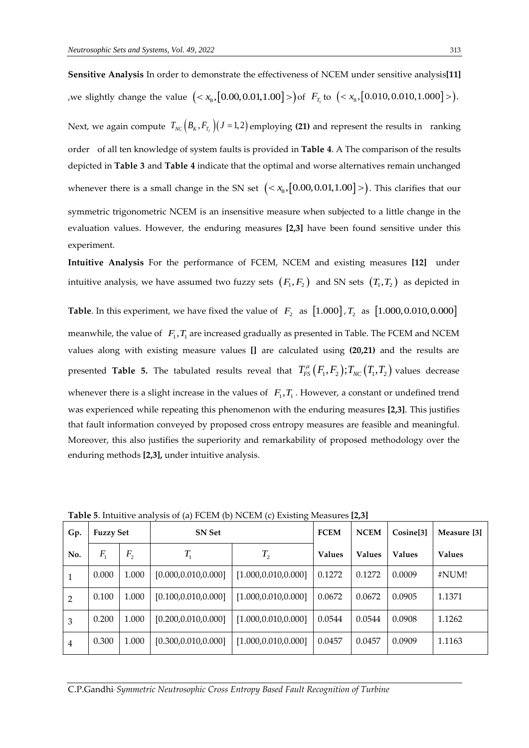**Sensitive Analysis** In order to demonstrate the effectiveness of NCEM under sensitive analysis**[11]** we slightly change the value  $(*x*<sub>8</sub>, [0.00, 0.01, 1.00]>)$  of  $F_{T_1}$  to  $(*x*<sub>8</sub>, [0.010, 0.010, 1.000])$ . Next, we again compute  $T_{NC} (B_K, F_{T_J}) (J = 1, 2)$  employing (21) and represent the results in ranking order of all ten knowledge of system faults is provided in **Table 4**. A The comparison of the results depicted in **Table 3** and **Table 4** indicate that the optimal and worse alternatives remain unchanged whenever there is a small change in the SN set  $\left( < x_{\rm s}, [0.00, 0.01, 1.00] > \right)$ . This clarifies that our symmetric trigonometric NCEM is an insensitive measure when subjected to a little change in the evaluation values. However, the enduring measures **[2,3]** have been found sensitive under this experiment.

**Intuitive Analysis** For the performance of FCEM, NCEM and existing measures **[12]** under intuitive analysis, we have assumed two fuzzy sets  $(F_{1},F_{2})$  and SN sets  $(T_{1},T_{2})$  as depicted in

**Table**. In this experiment, we have fixed the value of  $|F_2|$  as  $[1.000]$ ,  $T_2$  as  $[1.000, 0.010, 0.000]$ meanwhile, the value of  $F_1, T_1$  are increased gradually as presented in Table. The FCEM and NCEM values along with existing measure values **[]** are calculated using **(20,21)** and the results are presented Table 5. The tabulated results reveal that  $T_{FS}^\mu\big(F_1,F_2\big);T_{NC}\big(T_1,T_2\big)$  values decrease whenever there is a slight increase in the values of  $F_1, T_1$ . However, a constant or undefined trend was experienced while repeating this phenomenon with the enduring measures **[2,3]**. This justifies that fault information conveyed by proposed cross entropy measures are feasible and meaningful. Moreover, this also justifies the superiority and remarkability of proposed methodology over the enduring methods **[2,3],** under intuitive analysis.

| Gp.            | <b>Fuzzy Set</b> |                | <b>SN</b> Set         | <b>FCEM</b>           | <b>NCEM</b>   | Cosine <sup>[3]</sup> | Measure [3]   |               |
|----------------|------------------|----------------|-----------------------|-----------------------|---------------|-----------------------|---------------|---------------|
| No.            | $F_{1}$          | F <sub>2</sub> | $T_{1}$               | $T_{2}$               | <b>Values</b> | <b>Values</b>         | <b>Values</b> | <b>Values</b> |
|                | 0.000            | 1.000          | [0.000, 0.010, 0.000] | [1.000, 0.010, 0.000] | 0.1272        | 0.1272                | 0.0009        | #NUM!         |
| $\overline{2}$ | 0.100            | 1.000          | [0.100, 0.010, 0.000] | [1.000, 0.010, 0.000] | 0.0672        | 0.0672                | 0.0905        | 1.1371        |
| 3              | 0.200            | 1.000          | [0.200, 0.010, 0.000] | [1.000, 0.010, 0.000] | 0.0544        | 0.0544                | 0.0908        | 1.1262        |
| 4              | 0.300            | 1.000          | [0.300, 0.010, 0.000] | [1.000, 0.010, 0.000] | 0.0457        | 0.0457                | 0.0909        | 1.1163        |

**Table 5**. Intuitive analysis of (a) FCEM (b) NCEM (c) Existing Measures **[2,3]**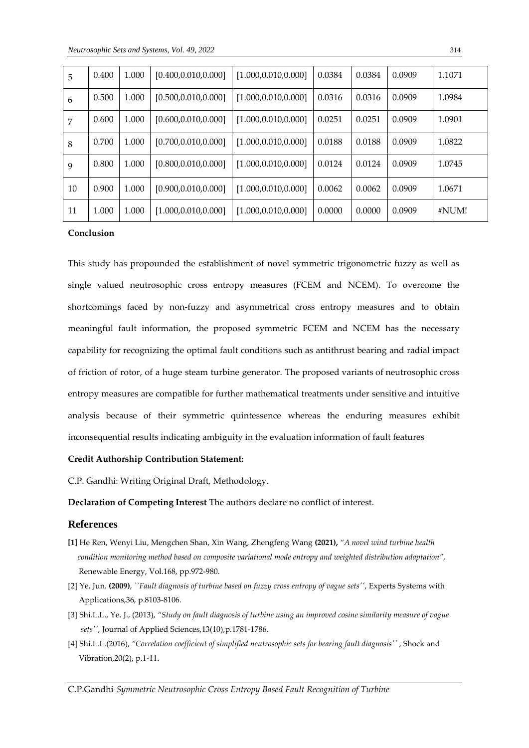| 5  | 0.400 | 1.000 | [0.400, 0.010, 0.000] | [1.000, 0.010, 0.000] | 0.0384 | 0.0384 | 0.0909 | 1.1071 |
|----|-------|-------|-----------------------|-----------------------|--------|--------|--------|--------|
| 6  | 0.500 | 1.000 | [0.500, 0.010, 0.000] | [1.000, 0.010, 0.000] | 0.0316 | 0.0316 | 0.0909 | 1.0984 |
| 7  | 0.600 | 1.000 | [0.600, 0.010, 0.000] | [1.000, 0.010, 0.000] | 0.0251 | 0.0251 | 0.0909 | 1.0901 |
| 8  | 0.700 | 1.000 | [0.700, 0.010, 0.000] | [1.000, 0.010, 0.000] | 0.0188 | 0.0188 | 0.0909 | 1.0822 |
| 9  | 0.800 | 1.000 | [0.800, 0.010, 0.000] | [1.000, 0.010, 0.000] | 0.0124 | 0.0124 | 0.0909 | 1.0745 |
| 10 | 0.900 | 1.000 | [0.900, 0.010, 0.000] | [1.000, 0.010, 0.000] | 0.0062 | 0.0062 | 0.0909 | 1.0671 |
| 11 | 1.000 | 1.000 | [1.000, 0.010, 0.000] | [1.000, 0.010, 0.000] | 0.0000 | 0.0000 | 0.0909 | #NUM!  |

### **Conclusion**

This study has propounded the establishment of novel symmetric trigonometric fuzzy as well as single valued neutrosophic cross entropy measures (FCEM and NCEM). To overcome the shortcomings faced by non-fuzzy and asymmetrical cross entropy measures and to obtain meaningful fault information, the proposed symmetric FCEM and NCEM has the necessary capability for recognizing the optimal fault conditions such as antithrust bearing and radial impact of friction of rotor, of a huge steam turbine generator. The proposed variants of neutrosophic cross entropy measures are compatible for further mathematical treatments under sensitive and intuitive analysis because of their symmetric quintessence whereas the enduring measures exhibit inconsequential results indicating ambiguity in the evaluation information of fault features

#### **Credit Authorship Contribution Statement:**

C.P. Gandhi: Writing Original Draft, Methodology.

**Declaration of Competing Interest** The authors declare no conflict of interest.

## **References**

- **[1]** He [Ren, Wenyi](https://www.sciencedirect.com/science/article/abs/pii/S0960148120320516#!) Liu, [Mengchen](https://www.sciencedirect.com/science/article/abs/pii/S0960148120320516#!) Shan, Xin [Wang, Zhengfeng](https://www.sciencedirect.com/science/article/abs/pii/S0960148120320516#!) Wang **(2021),** *"A novel wind turbine health condition monitoring method based on composite variational mode entropy and weighted distribution adaptation"*, Renewable Energy, Vol.168, pp.972-980.
- [2] Ye. Jun. **(2009)**, *``Fault diagnosis of turbine based on fuzzy cross entropy of vague sets''*, Experts Systems with Applications,36, p.8103-8106.
- [3] Shi.L.L., Ye. J., (2013), *"Study on fault diagnosis of turbine using an improved cosine similarity measure of vague sets''*, Journal of Applied Sciences,13(10),p.1781-1786.
- [4] Shi.L.L.(2016), *"Correlation coefficient of simplified neutrosophic sets for bearing fault diagnosis''* , Shock and Vibration,20(2), p.1-11.

C.P.Gandhi, *Symmetric Neutrosophic Cross Entropy Based Fault Recognition of Turbine*